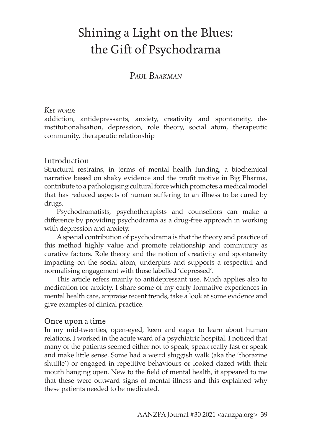# Shining a Light on the Blues: the Gift of Psychodrama

# *Paul Baakman*

### *Key words*

addiction, antidepressants, anxiety, creativity and spontaneity, deinstitutionalisation, depression, role theory, social atom, therapeutic community, therapeutic relationship

## Introduction

Structural restrains, in terms of mental health funding, a biochemical narrative based on shaky evidence and the profit motive in Big Pharma, contribute to a pathologising cultural force which promotes a medical model that has reduced aspects of human suffering to an illness to be cured by drugs.

Psychodramatists, psychotherapists and counsellors can make a difference by providing psychodrama as a drug-free approach in working with depression and anxiety.

A special contribution of psychodrama is that the theory and practice of this method highly value and promote relationship and community as curative factors. Role theory and the notion of creativity and spontaneity impacting on the social atom, underpins and supports a respectful and normalising engagement with those labelled 'depressed'.

This article refers mainly to antidepressant use. Much applies also to medication for anxiety. I share some of my early formative experiences in mental health care, appraise recent trends, take a look at some evidence and give examples of clinical practice.

### Once upon a time

In my mid-twenties, open-eyed, keen and eager to learn about human relations, I worked in the acute ward of a psychiatric hospital. I noticed that many of the patients seemed either not to speak, speak really fast or speak and make little sense. Some had a weird sluggish walk (aka the 'thorazine shuffle') or engaged in repetitive behaviours or looked dazed with their mouth hanging open. New to the field of mental health, it appeared to me that these were outward signs of mental illness and this explained why these patients needed to be medicated.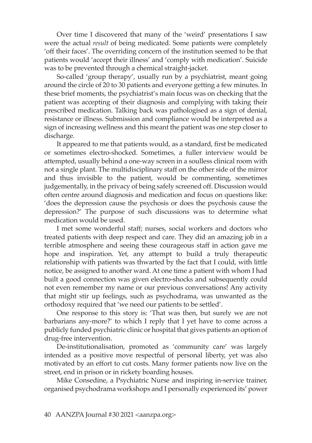Over time I discovered that many of the 'weird' presentations I saw were the actual *result* of being medicated. Some patients were completely 'off their faces'. The overriding concern of the institution seemed to be that patients would 'accept their illness' and 'comply with medication'. Suicide was to be prevented through a chemical straight-jacket.

So-called 'group therapy', usually run by a psychiatrist, meant going around the circle of 20 to 30 patients and everyone getting a few minutes. In these brief moments, the psychiatrist's main focus was on checking that the patient was accepting of their diagnosis and complying with taking their prescribed medication. Talking back was pathologised as a sign of denial, resistance or illness. Submission and compliance would be interpreted as a sign of increasing wellness and this meant the patient was one step closer to discharge.

It appeared to me that patients would, as a standard, first be medicated or sometimes electro-shocked. Sometimes, a fuller interview would be attempted, usually behind a one-way screen in a soulless clinical room with not a single plant. The multidisciplinary staff on the other side of the mirror and thus invisible to the patient, would be commenting, sometimes judgementally, in the privacy of being safely screened off. Discussion would often centre around diagnosis and medication and focus on questions like: 'does the depression cause the psychosis or does the psychosis cause the depression?' The purpose of such discussions was to determine what medication would be used.

I met some wonderful staff; nurses, social workers and doctors who treated patients with deep respect and care. They did an amazing job in a terrible atmosphere and seeing these courageous staff in action gave me hope and inspiration. Yet, any attempt to build a truly therapeutic relationship with patients was thwarted by the fact that I could, with little notice, be assigned to another ward. At one time a patient with whom I had built a good connection was given electro-shocks and subsequently could not even remember my name or our previous conversations! Any activity that might stir up feelings, such as psychodrama, was unwanted as the orthodoxy required that 'we need our patients to be settled'.

One response to this story is: 'That was then, but surely we are not barbarians any-more?' to which I reply that I yet have to come across a publicly funded psychiatric clinic or hospital that gives patients an option of drug-free intervention.

De-institutionalisation, promoted as 'community care' was largely intended as a positive move respectful of personal liberty, yet was also motivated by an effort to cut costs. Many former patients now live on the street, end in prison or in rickety boarding houses.

Mike Consedine, a Psychiatric Nurse and inspiring in-service trainer, organised psychodrama workshops and I personally experienced its' power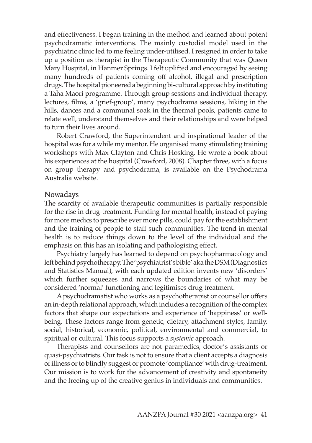and effectiveness. I began training in the method and learned about potent psychodramatic interventions. The mainly custodial model used in the psychiatric clinic led to me feeling under-utilised. I resigned in order to take up a position as therapist in the Therapeutic Community that was Queen Mary Hospital, in Hanmer Springs. I felt uplifted and encouraged by seeing many hundreds of patients coming off alcohol, illegal and prescription drugs. The hospital pioneered a beginning bi-cultural approach by instituting a Taha Maori programme. Through group sessions and individual therapy, lectures, films, a 'grief-group', many psychodrama sessions, hiking in the hills, dances and a communal soak in the thermal pools, patients came to relate well, understand themselves and their relationships and were helped to turn their lives around.

Robert Crawford, the Superintendent and inspirational leader of the hospital was for a while my mentor. He organised many stimulating training workshops with Max Clayton and Chris Hosking. He wrote a book about his experiences at the hospital (Crawford, 2008). Chapter three, with a focus on group therapy and psychodrama, is available on the Psychodrama Australia website.

### Nowadays

The scarcity of available therapeutic communities is partially responsible for the rise in drug-treatment. Funding for mental health, instead of paying for more medics to prescribe ever more pills, could pay for the establishment and the training of people to staff such communities. The trend in mental health is to reduce things down to the level of the individual and the emphasis on this has an isolating and pathologising effect.

Psychiatry largely has learned to depend on psychopharmacology and left behind psychotherapy. The 'psychiatrist's bible' aka the DSM (Diagnostics and Statistics Manual), with each updated edition invents new 'disorders' which further squeezes and narrows the boundaries of what may be considered 'normal' functioning and legitimises drug treatment.

A psychodramatist who works as a psychotherapist or counsellor offers an in-depth relational approach, which includes a recognition of the complex factors that shape our expectations and experience of 'happiness' or wellbeing. These factors range from genetic, dietary, attachment styles, family, social, historical, economic, political, environmental and commercial, to spiritual or cultural. This focus supports a *systemic* approach.

Therapists and counsellors are not paramedics, doctor's assistants or quasi-psychiatrists. Our task is not to ensure that a client accepts a diagnosis of illness or to blindly suggest or promote 'compliance' with drug-treatment. Our mission is to work for the advancement of creativity and spontaneity and the freeing up of the creative genius in individuals and communities.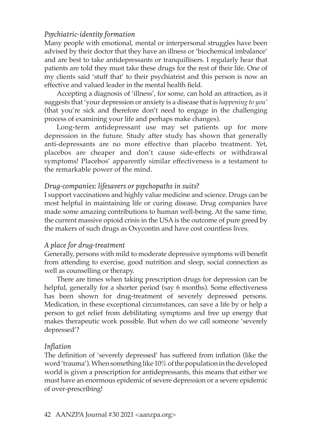## *Psychiatric-identity formation*

Many people with emotional, mental or interpersonal struggles have been advised by their doctor that they have an illness or 'biochemical imbalance' and are best to take antidepressants or tranquillisers. I regularly hear that patients are told they must take these drugs for the rest of their life. One of my clients said 'stuff that' to their psychiatrist and this person is now an effective and valued leader in the mental health field.

Accepting a diagnosis of 'illness', for some, can hold an attraction, as it suggests that 'your depression or anxiety is a disease that is *happening to you'* (that you're sick and therefore don't need to engage in the challenging process of examining your life and perhaps make changes).

Long-term antidepressant use may set patients up for more depression in the future. Study after study has shown that generally anti-depressants are no more effective than placebo treatment. Yet, placebos are cheaper and don't cause side-effects or withdrawal symptoms! Placebos' apparently similar effectiveness is a testament to the remarkable power of the mind.

### *Drug-companies: lifesavers or psychopaths in suits?*

I support vaccinations and highly value medicine and science. Drugs can be most helpful in maintaining life or curing disease. Drug companies have made some amazing contributions to human well-being. At the same time, the current massive opioid crisis in the USA is the outcome of pure greed by the makers of such drugs as Oxycontin and have cost countless lives.

### *A place for drug-treatment*

Generally, persons with mild to moderate depressive symptoms will benefit from attending to exercise, good nutrition and sleep, social connection as well as counselling or therapy.

There are times when taking prescription drugs for depression can be helpful, generally for a shorter period (say 6 months). Some effectiveness has been shown for drug-treatment of severely depressed persons. Medication, in these exceptional circumstances, can save a life by or help a person to get relief from debilitating symptoms and free up energy that makes therapeutic work possible. But when do we call someone 'severely depressed'?

## *Inflation*

The definition of 'severely depressed' has suffered from inflation (like the word 'trauma'). When something like 10% of the population in the developed world is given a prescription for antidepressants, this means that either we must have an enormous epidemic of severe depression or a severe epidemic of over-prescribing!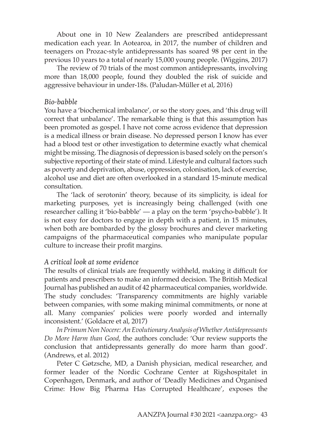About one in 10 New Zealanders are prescribed antidepressant medication each year. In Aotearoa, in 2017, the number of children and teenagers on Prozac-style antidepressants has soared 98 per cent in the previous 10 years to a total of nearly 15,000 young people. (Wiggins, 2017)

The review of 70 trials of the most common antidepressants, involving more than 18,000 people, found they doubled the risk of suicide and aggressive behaviour in under-18s. (Paludan-Müller et al, 2016)

### *Bio-babble*

You have a 'biochemical imbalance', or so the story goes, and 'this drug will correct that unbalance'. The remarkable thing is that this assumption has been promoted as gospel. I have not come across evidence that depression is a medical illness or brain disease. No depressed person I know has ever had a blood test or other investigation to determine exactly what chemical might be missing. The diagnosis of depression is based solely on the person's subjective reporting of their state of mind. Lifestyle and cultural factors such as poverty and deprivation, abuse, oppression, colonisation, lack of exercise, alcohol use and diet are often overlooked in a standard 15-minute medical consultation.

The 'lack of serotonin' theory, because of its simplicity, is ideal for marketing purposes, yet is increasingly being challenged (with one researcher calling it 'bio-babble' — a play on the term 'psycho-babble'). It is not easy for doctors to engage in depth with a patient, in 15 minutes, when both are bombarded by the glossy brochures and clever marketing campaigns of the pharmaceutical companies who manipulate popular culture to increase their profit margins.

### *A critical look at some evidence*

The results of clinical trials are frequently withheld, making it difficult for patients and prescribers to make an informed decision. The British Medical Journal has published an audit of 42 pharmaceutical companies, worldwide. The study concludes: 'Transparency commitments are highly variable between companies, with some making minimal commitments, or none at all. Many companies' policies were poorly worded and internally inconsistent.' (Goldacre et al, 2017)

*In Primum Non Nocere: An Evolutionary Analysis of Whether Antidepressants Do More Harm than Good*, the authors conclude: 'Our review supports the conclusion that antidepressants generally do more harm than good'. (Andrews, et al. 2012)

Peter C Gøtzsche, MD, a Danish physician, medical researcher, and former leader of the Nordic Cochrane Center at Rigshospitalet in Copenhagen, Denmark, and author of 'Deadly Medicines and Organised Crime: How Big Pharma Has Corrupted Healthcare', exposes the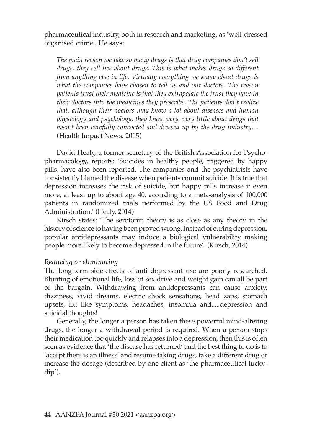pharmaceutical industry, both in research and marketing, as 'well-dressed organised crime'. He says:

*The main reason we take so many drugs is that drug companies don't sell drugs, they sell lies about drugs. This is what makes drugs so different from anything else in life. Virtually everything we know about drugs is what the companies have chosen to tell us and our doctors. The reason patients trust their medicine is that they extrapolate the trust they have in their doctors into the medicines they prescribe. The patients don't realize that, although their doctors may know a lot about diseases and human physiology and psychology, they know very, very little about drugs that hasn't been carefully concocted and dressed up by the drug industry…* (Health Impact News, 2015)

David Healy, a former secretary of the British Association for Psychopharmacology, reports: 'Suicides in healthy people, triggered by happy pills, have also been reported. The companies and the psychiatrists have consistently blamed the disease when patients commit suicide. It is true that depression increases the risk of suicide, but happy pills increase it even more, at least up to about age 40, according to a meta-analysis of 100,000 patients in randomized trials performed by the US Food and Drug Administration.' (Healy, 2014)

Kirsch states: 'The serotonin theory is as close as any theory in the history of science to having been proved wrong. Instead of curing depression, popular antidepressants may induce a biological vulnerability making people more likely to become depressed in the future'. (Kirsch, 2014)

### *Reducing or eliminating*

The long-term side-effects of anti depressant use are poorly researched. Blunting of emotional life, loss of sex drive and weight gain can all be part of the bargain. Withdrawing from antidepressants can cause anxiety, dizziness, vivid dreams, electric shock sensations, head zaps, stomach upsets, flu like symptoms, headaches, insomnia and.....depression and suicidal thoughts!

Generally, the longer a person has taken these powerful mind-altering drugs, the longer a withdrawal period is required. When a person stops their medication too quickly and relapses into a depression, then this is often seen as evidence that 'the disease has returned' and the best thing to do is to 'accept there is an illness' and resume taking drugs, take a different drug or increase the dosage (described by one client as 'the pharmaceutical luckydip').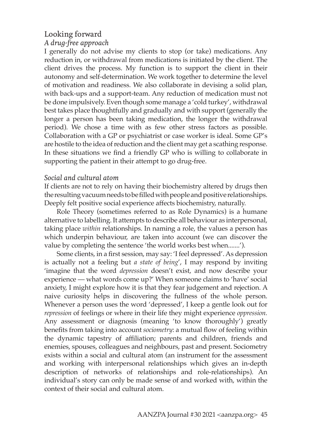# Looking forward *A drug-free approach*

I generally do not advise my clients to stop (or take) medications. Any reduction in, or withdrawal from medications is initiated by the client. The client drives the process. My function is to support the client in their autonomy and self-determination. We work together to determine the level of motivation and readiness. We also collaborate in devising a solid plan, with back-ups and a support-team. Any reduction of medication must not be done impulsively. Even though some manage a 'cold turkey', withdrawal best takes place thoughtfully and gradually and with support (generally the longer a person has been taking medication, the longer the withdrawal period). We chose a time with as few other stress factors as possible. Collaboration with a GP or psychiatrist or case worker is ideal. Some GP's are hostile to the idea of reduction and the client may get a scathing response. In these situations we find a friendly GP who is willing to collaborate in supporting the patient in their attempt to go drug-free.

### *Social and cultural atom*

If clients are not to rely on having their biochemistry altered by drugs then the resulting vacuum needs to be filled with people and positive relationships. Deeply felt positive social experience affects biochemistry, naturally.

Role Theory (sometimes referred to as Role Dynamics) is a humane alternative to labelling. It attempts to describe all behaviour as interpersonal, taking place *within* relationships. In naming a role, the values a person has which underpin behaviour, are taken into account (we can discover the value by completing the sentence 'the world works best when.......').

Some clients, in a first session, may say: 'I feel depressed'. As depression is actually not a feeling but *a state of being*', I may respond by inviting 'imagine that the word *depression* doesn't exist, and now describe your experience — what words come up?' When someone claims to 'have' social anxiety, I might explore how it is that they fear judgement and rejection. A naive curiosity helps in discovering the fullness of the whole person. Whenever a person uses the word 'depressed', I keep a gentle look out for *repression* of feelings or where in their life they might experience *oppression.* Any assessment or diagnosis (meaning 'to know thoroughly') greatly benefits from taking into account *sociometry*: a mutual flow of feeling within the dynamic tapestry of affiliation; parents and children, friends and enemies, spouses, colleagues and neighbours, past and present. Sociometry exists within a social and cultural atom (an instrument for the assessment and working with interpersonal relationships which gives an in-depth description of networks of relationships and role-relationships). An individual's story can only be made sense of and worked with, within the context of their social and cultural atom.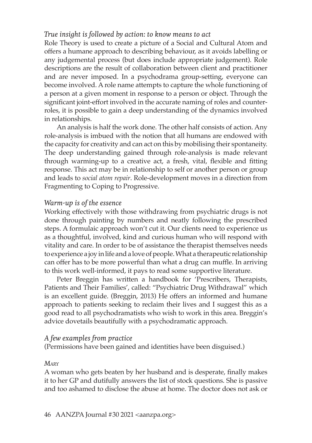### *True insight is followed by action: to know means to act*

Role Theory is used to create a picture of a Social and Cultural Atom and offers a humane approach to describing behaviour, as it avoids labelling or any judgemental process (but does include appropriate judgement). Role descriptions are the result of collaboration between client and practitioner and are never imposed. In a psychodrama group-setting, everyone can become involved. A role name attempts to capture the whole functioning of a person at a given moment in response to a person or object. Through the significant joint-effort involved in the accurate naming of roles and counterroles, it is possible to gain a deep understanding of the dynamics involved in relationships.

An analysis is half the work done. The other half consists of action. Any role-analysis is imbued with the notion that all humans are endowed with the capacity for creativity and can act on this by mobilising their spontaneity. The deep understanding gained through role-analysis is made relevant through warming-up to a creative act, a fresh, vital, flexible and fitting response. This act may be in relationship to self or another person or group and leads to *social atom repair*. Role-development moves in a direction from Fragmenting to Coping to Progressive.

### *Warm-up is of the essence*

Working effectively with those withdrawing from psychiatric drugs is not done through painting by numbers and neatly following the prescribed steps. A formulaic approach won't cut it. Our clients need to experience us as a thoughtful, involved, kind and curious human who will respond with vitality and care. In order to be of assistance the therapist themselves needs to experience a joy in life and a love of people. What a therapeutic relationship can offer has to be more powerful than what a drug can muffle. In arriving to this work well-informed, it pays to read some supportive literature.

Peter Breggin has written a handbook for 'Prescribers, Therapists, Patients and Their Families', called: "Psychiatric Drug Withdrawal" which is an excellent guide. (Breggin, 2013) He offers an informed and humane approach to patients seeking to reclaim their lives and I suggest this as a good read to all psychodramatists who wish to work in this area. Breggin's advice dovetails beautifully with a psychodramatic approach.

### *A few examples from practice*

(Permissions have been gained and identities have been disguised.)

### *Mary*

A woman who gets beaten by her husband and is desperate, finally makes it to her GP and dutifully answers the list of stock questions. She is passive and too ashamed to disclose the abuse at home. The doctor does not ask or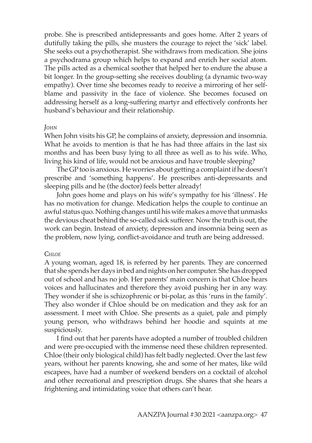probe. She is prescribed antidepressants and goes home. After 2 years of dutifully taking the pills, she musters the courage to reject the 'sick' label. She seeks out a psychotherapist. She withdraws from medication. She joins a psychodrama group which helps to expand and enrich her social atom. The pills acted as a chemical soother that helped her to endure the abuse a bit longer. In the group-setting she receives doubling (a dynamic two-way empathy). Over time she becomes ready to receive a mirroring of her selfblame and passivity in the face of violence. She becomes focused on addressing herself as a long-suffering martyr and effectively confronts her husband's behaviour and their relationship.

### *John*

When John visits his GP, he complains of anxiety, depression and insomnia. What he avoids to mention is that he has had three affairs in the last six months and has been busy lying to all three as well as to his wife. Who, living his kind of life, would not be anxious and have trouble sleeping?

The GP too is anxious. He worries about getting a complaint if he doesn't prescribe and 'something happens'. He prescribes anti-depressants and sleeping pills and he (the doctor) feels better already!

John goes home and plays on his wife's sympathy for his 'illness'. He has no motivation for change. Medication helps the couple to continue an awful status quo. Nothing changes until his wife makes a move that unmasks the devious cheat behind the so-called sick sufferer. Now the truth is out, the work can begin. Instead of anxiety, depression and insomnia being seen as the problem, now lying, conflict-avoidance and truth are being addressed.

#### *Chloe*

A young woman, aged 18, is referred by her parents. They are concerned that she spends her days in bed and nights on her computer. She has dropped out of school and has no job. Her parents' main concern is that Chloe hears voices and hallucinates and therefore they avoid pushing her in any way. They wonder if she is schizophrenic or bi-polar, as this 'runs in the family'. They also wonder if Chloe should be on medication and they ask for an assessment. I meet with Chloe. She presents as a quiet, pale and pimply young person, who withdraws behind her hoodie and squints at me suspiciously.

I find out that her parents have adopted a number of troubled children and were pre-occupied with the immense need these children represented. Chloe (their only biological child) has felt badly neglected. Over the last few years, without her parents knowing, she and some of her mates, like wild escapees, have had a number of weekend benders on a cocktail of alcohol and other recreational and prescription drugs. She shares that she hears a frightening and intimidating voice that others can't hear.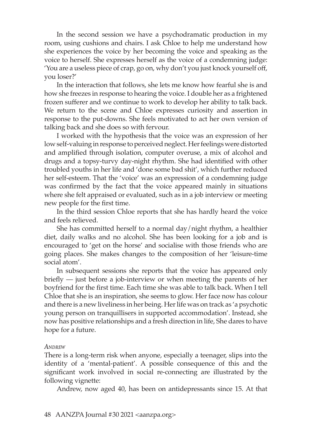In the second session we have a psychodramatic production in my room, using cushions and chairs. I ask Chloe to help me understand how she experiences the voice by her becoming the voice and speaking as the voice to herself. She expresses herself as the voice of a condemning judge: 'You are a useless piece of crap, go on, why don't you just knock yourself off, you loser?'

In the interaction that follows, she lets me know how fearful she is and how she freezes in response to hearing the voice. I double her as a frightened frozen sufferer and we continue to work to develop her ability to talk back. We return to the scene and Chloe expresses curiosity and assertion in response to the put-downs. She feels motivated to act her own version of talking back and she does so with fervour.

I worked with the hypothesis that the voice was an expression of her low self-valuing in response to perceived neglect. Her feelings were distorted and amplified through isolation, computer overuse, a mix of alcohol and drugs and a topsy-turvy day-night rhythm. She had identified with other troubled youths in her life and 'done some bad shit', which further reduced her self-esteem. That the 'voice' was an expression of a condemning judge was confirmed by the fact that the voice appeared mainly in situations where she felt appraised or evaluated, such as in a job interview or meeting new people for the first time.

In the third session Chloe reports that she has hardly heard the voice and feels relieved.

She has committed herself to a normal day/night rhythm, a healthier diet, daily walks and no alcohol. She has been looking for a job and is encouraged to 'get on the horse' and socialise with those friends who are going places. She makes changes to the composition of her 'leisure-time social atom'.

In subsequent sessions she reports that the voice has appeared only briefly — just before a job-interview or when meeting the parents of her boyfriend for the first time. Each time she was able to talk back. When I tell Chloe that she is an inspiration, she seems to glow. Her face now has colour and there is a new liveliness in her being. Her life was on track as 'a psychotic young person on tranquillisers in supported accommodation'. Instead, she now has positive relationships and a fresh direction in life, She dares to have hope for a future.

#### *Andrew*

There is a long-term risk when anyone, especially a teenager, slips into the identity of a 'mental-patient'. A possible consequence of this and the significant work involved in social re-connecting are illustrated by the following vignette:

Andrew, now aged 40, has been on antidepressants since 15. At that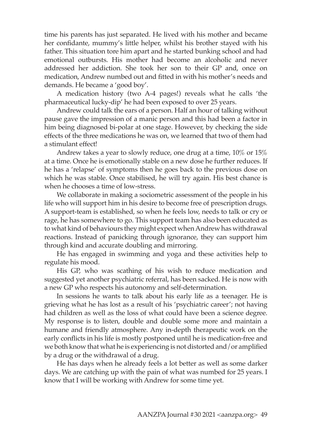time his parents has just separated. He lived with his mother and became her confidante, mummy's little helper, whilst his brother stayed with his father. This situation tore him apart and he started bunking school and had emotional outbursts. His mother had become an alcoholic and never addressed her addiction. She took her son to their GP and, once on medication, Andrew numbed out and fitted in with his mother's needs and demands. He became a 'good boy'.

A medication history (two A-4 pages!) reveals what he calls 'the pharmaceutical lucky-dip' he had been exposed to over 25 years.

Andrew could talk the ears of a person. Half an hour of talking without pause gave the impression of a manic person and this had been a factor in him being diagnosed bi-polar at one stage. However, by checking the side effects of the three medications he was on, we learned that two of them had a stimulant effect!

Andrew takes a year to slowly reduce, one drug at a time, 10% or 15% at a time. Once he is emotionally stable on a new dose he further reduces. If he has a 'relapse' of symptoms then he goes back to the previous dose on which he was stable. Once stabilised, he will try again. His best chance is when he chooses a time of low-stress.

We collaborate in making a sociometric assessment of the people in his life who will support him in his desire to become free of prescription drugs. A support-team is established, so when he feels low, needs to talk or cry or rage, he has somewhere to go. This support team has also been educated as to what kind of behaviours they might expect when Andrew has withdrawal reactions. Instead of panicking through ignorance, they can support him through kind and accurate doubling and mirroring.

He has engaged in swimming and yoga and these activities help to regulate his mood.

His GP, who was scathing of his wish to reduce medication and suggested yet another psychiatric referral, has been sacked. He is now with a new GP who respects his autonomy and self-determination.

In sessions he wants to talk about his early life as a teenager. He is grieving what he has lost as a result of his 'psychiatric career'; not having had children as well as the loss of what could have been a science degree. My response is to listen, double and double some more and maintain a humane and friendly atmosphere. Any in-depth therapeutic work on the early conflicts in his life is mostly postponed until he is medication-free and we both know that what he is experiencing is not distorted and/or amplified by a drug or the withdrawal of a drug.

He has days when he already feels a lot better as well as some darker days. We are catching up with the pain of what was numbed for 25 years. I know that I will be working with Andrew for some time yet.